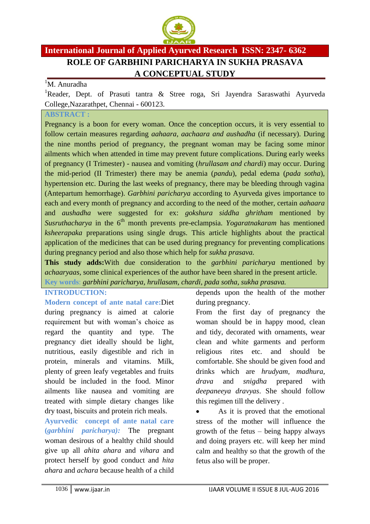

# **International Journal of Applied Ayurved Research ISSN: 2347- 6362 ROLE OF GARBHINI PARICHARYA IN SUKHA PRASAVA A CONCEPTUAL STUDY**

#### <sup>1</sup>M. Anuradha

<sup>1</sup>Reader, Dept. of Prasuti tantra & Stree roga, Sri Jayendra Saraswathi Ayurveda College,Nazarathpet, Chennai - 600123.

#### **ABSTRACT :**

Pregnancy is a boon for every woman. Once the conception occurs, it is very essential to follow certain measures regarding *aahaara, aachaara and aushadha* (if necessary). During the nine months period of pregnancy, the pregnant woman may be facing some minor ailments which when attended in time may prevent future complications. During early weeks of pregnancy (I Trimester) - nausea and vomiting (*hrullasam and chardi*) may occur. During the mid-period (II Trimester) there may be anemia (*pandu*), pedal edema (*pada sotha*), hypertension etc. During the last weeks of pregnancy, there may be bleeding through vagina (Antepartum hemorrhage). *Garbhini paricharya* according to Ayurveda gives importance to each and every month of pregnancy and according to the need of the mother, certain *aahaara*  and *aushadha* were suggested for ex: *gokshura siddha ghritham* mentioned by *Susruthacharya* in the 6<sup>th</sup> month prevents pre-eclampsia. *Yogaratnakaram* has mentioned *ksheerapaka* preparations using single drugs. This article highlights about the practical application of the medicines that can be used during pregnancy for preventing complications during pregnancy period and also those which help for *sukha prasava.*

**This study adds:**With due consideration to the *garbhini paricharya* mentioned by *achaaryaas,* some clinical experiences of the author have been shared in the present article. **Key words**: *garbhini paricharya, hrullasam, chardi, pada sotha, sukha prasava.*

#### **INTRODUCTION:**

**Modern concept of ante natal care:**Diet during pregnancy is aimed at calorie requirement but with woman's choice as regard the quantity and type. The pregnancy diet ideally should be light, nutritious, easily digestible and rich in protein, minerals and vitamins. Milk, plenty of green leafy vegetables and fruits should be included in the food. Minor ailments like nausea and vomiting are treated with simple dietary changes like dry toast, biscuits and protein rich meals.

**Ayurvedic concept of ante natal care (***garbhini paricharya):* The pregnant woman desirous of a healthy child should give up all *ahita ahara* and *vihara* and protect herself by good conduct and *hita ahara* and *achara* because health of a child

depends upon the health of the mother during pregnancy.

From the first day of pregnancy the woman should be in happy mood, clean and tidy, decorated with ornaments, wear clean and white garments and perform religious rites etc. and should be comfortable. She should be given food and drinks which are *hrudyam, madhura, drava* and *snigdha* prepared with *deepaneeya dravyas*. She should follow this regimen till the delivery .

• As it is proved that the emotional stress of the mother will influence the growth of the fetus – being happy always and doing prayers etc. will keep her mind calm and healthy so that the growth of the fetus also will be proper.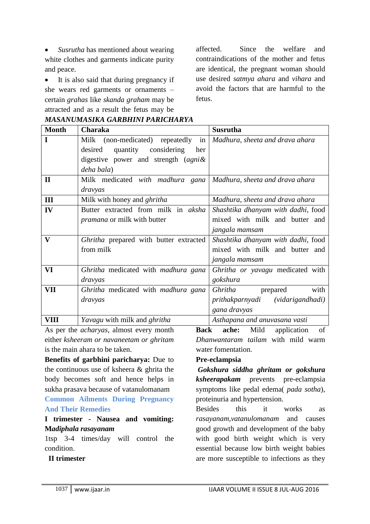*Susrutha* has mentioned about wearing white clothes and garments indicate purity and peace.

• It is also said that during pregnancy if she wears red garments or ornaments – certain *grahas* like *skanda graham* may be attracted and as a result the fetus may be

affected. Since the welfare and contraindications of the mother and fetus are identical, the pregnant woman should use desired *satmya ahara* and *vihara* and avoid the factors that are harmful to the fetus.

| <b>Month</b> | Charaka                                                              | <b>Susrutha</b>                    |
|--------------|----------------------------------------------------------------------|------------------------------------|
| $\mathbf I$  | Milk (non-medicated) repeatedly in   Madhura, sheeta and drava ahara |                                    |
|              | considering<br>desired<br>quantity<br>her                            |                                    |
|              | digestive power and strength (agni&                                  |                                    |
|              | deha bala)                                                           |                                    |
| $\mathbf{I}$ | Milk medicated with madhura gana Madhura, sheeta and drava ahara     |                                    |
|              | dravyas                                                              |                                    |
| III          | Milk with honey and <i>ghritha</i>                                   | Madhura, sheeta and drava ahara    |
| IV           | Butter extracted from milk in <i>aksha</i>                           | Shashtika dhanyam with dadhi, food |
|              | <i>pramana</i> or milk with butter                                   | mixed with milk and butter and     |
|              |                                                                      | jangala mamsam                     |
| $\mathbf{V}$ | Ghritha prepared with butter extracted                               | Shashtika dhanyam with dadhi, food |
|              | from milk                                                            | mixed with milk and butter and     |
|              |                                                                      | jangala mamsam                     |
| VI           | Ghritha medicated with madhura gana                                  | Ghritha or yavagu medicated with   |
|              | dravyas                                                              | gokshura                           |
| VII          | Ghritha medicated with madhura gana                                  | with<br><i>Ghritha</i><br>prepared |
|              | dravyas                                                              | prithakparnyadi (vidarigandhadi)   |
|              |                                                                      | gana dravyas                       |
| <b>VIII</b>  | Yavagu with milk and ghritha                                         | Asthapana and anuvasana vasti      |

*MASANUMASIKA GARBHINI PARICHARYA*

As per the *acharyas*, almost every month either *ksheeram or navaneetam or ghritam* is the main ahara to be taken.

**Benefits of garbhini paricharya:** Due to the continuous use of ksheera & ghrita the body becomes soft and hence helps in sukha prasava because of vatanulomanam

# **Common Ailments During Pregnancy And Their Remedies**

### **I trimester - Nausea and vomiting: M***adiphala rasayanam*

1tsp 3-4 times/day will control the condition.

**Back ache:** Mild application of *Dhanwantaram tailam* with mild warm water fomentation.

### **Pre-eclampsia**

*Gokshura siddha ghritam or gokshura ksheerapakam* prevents pre-eclampsia symptoms like pedal edema( *pada sotha*), proteinuria and hypertension.

Besides this it works as *rasayanam,vatanulomanam* and causes good growth and development of the baby with good birth weight which is very essential because low birth weight babies are more susceptible to infections as they